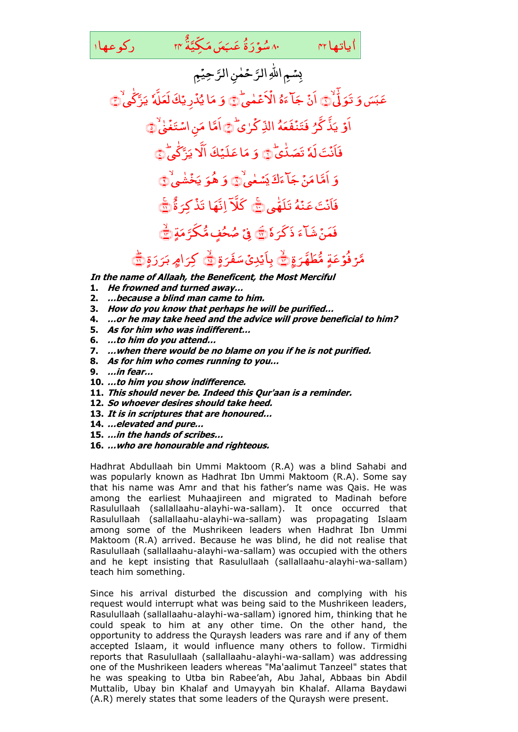۸۰ سُوۡرَةُ عَـَـبَـمَى مَـکِّـيَّةَ r۴ رکوعها ا َ و<br>س<mark>ۇ</mark>ر َ َ ع ـ ٌ ۃ َّ ّکِ ی َ م َ یاتھا ۳۲ سے ۸۰ سُوْرَةُ عَبَعَں مَکَیَّةُ ۲۴

ٰ

ماتها ٢٢

رَّحِيْمِ حَمٰنِ الرَّ سًـمِ اللهِ ال*ق*َّ ِدِ َ  $\tilde{9}$ عَب*َ*سَ بہ<br>با تَوَلَّىٰ ۖ اَنَّ **ہ** ۂ َ ] ءَ ؘ<br>֧ جَاّءَهُ الْأَعْمٰى <u>់</u> الْأَعْمٰهِ ٱلْ َ وَ مَا يُذْرِينَكَ لَعَلَّهُ ْ <u>ڈ</u> ُ ای ام<br>ا مَا يُدۡرِ يَكَ لَعَلَّهٗ يَزَّكَىٰ ٰ ان<br>ا یَنَّکُّے کُے اُ ُ ہ َ َ ف ۡ فَتَنَّد ر<br>ر َّذ َّکل َ اَوۡ یَذَّ کَّرُ فَتَنۡفَعَهُ الذِّکۡرٰیۡ الذِّكْرٰى ۖ۞اَمَّا مَنِ اسْتَغَىٰ نِ اسْتَ<mark>ذ</mark>َ ام<br>ا مَنِ اسْتَغَيْرُ ۞ ت<mark>َ لَهُ</mark> ۡ فَأَنۡتَ لَٰہٗ تَصَدُّیۡ ۖ ۖ ٰ وَ مَا عَلَيْكَ ام<br>ا مَا عَلَیۡكَ الَّا یَرَّکَّیَّ ٰ ا**َلَا يَرَّكَىٰ**ۤ۞ َ وَ أَمَّا مَنْ جَاً ءَكَّ يَسۡمٰى لَّا َ ی َ ک َ ] ءَ ؘ<br>֧ د<br>دنې ام<br>ا اُمَّا مَنۡ جَآ ءَڬ يَسۡعٰىٰ۞ َ وَ هُوَ يَخۡشٰمِ ُ خ َ ی َ هُوَ يَخۡشَىٰ۞ ِ<br>نَتَ عَ<mark>نۡهُ</mark> ؚ<br>ۣ فَأَنۡتَ عَنۡهُ تَلَهُّی ۞ ٰ  $\overline{a}$ **َکَلا**ً اِنَّهَا ٌ ۃ َ ِکل ؚ<br>? تَذَكِّرَةُ <mark>إِنَّ</mark> َ فَمَنۡ شَآءَ ذَكَرَهٗ ذَكَرَهُ۞ فِيُّ صُحُفٍ مُّكَرَّمَةٍ م صُحُفٍ مُّكرَّ مَةٍ ١

مَّرۡ فُوۡعَةٍ مُّطَهَّرَةٍ مُّطَهَّرَةٍ ٢ بِأَيْدِىۡ سَفَرَةٍ غَرَ<br>-َ بِاَيۡدِیۡ سَفَرَۃٍ <mark>﴾</mark> کِرَامٍ بَرَرَۃٍ ر ر<br>۔ ليس .<br>ا امر د َ کرام بَرَرَةِ ١٥

**In the name of Allaah, the Beneficent, the Most Merciful** 

- **1. He frowned and turned away…**
- **2. …because a blind man came to him.**
- **3. How do you know that perhaps he will be purified…**
- **4. …or he may take heed and the advice will prove beneficial to him?**
- **5. As for him who was indifferent…**
- **6. …to him do you attend…**
- **7. …when there would be no blame on you if he is not purified.**
- **8. As for him who comes running to you…**
- **9. …in fear…**
- **10. …to him you show indifference.**
- **11. This should never be. Indeed this Qur'aan is a reminder.**
- **12. So whoever desires should take heed.**
- **13. It is in scriptures that are honoured…**
- **14. …elevated and pure…**
- **15. …in the hands of scribes…**
- **16. …who are honourable and righteous.**

Hadhrat Abdullaah bin Ummi Maktoom (R.A) was a blind Sahabi and was popularly known as Hadhrat Ibn Ummi Maktoom (R.A). Some say that his name was Amr and that his father's name was Qais. He was among the earliest Muhaajireen and migrated to Madinah before Rasulullaah (sallallaahu-alayhi-wa-sallam). It once occurred that Rasulullaah (sallallaahu-alayhi-wa-sallam) was propagating Islaam among some of the Mushrikeen leaders when Hadhrat Ibn Ummi Maktoom (R.A) arrived. Because he was blind, he did not realise that Rasulullaah (sallallaahu-alayhi-wa-sallam) was occupied with the others and he kept insisting that Rasulullaah (sallallaahu-alayhi-wa-sallam) teach him something.

Since his arrival disturbed the discussion and complying with his request would interrupt what was being said to the Mushrikeen leaders, Rasulullaah (sallallaahu-alayhi-wa-sallam) ignored him, thinking that he could speak to him at any other time. On the other hand, the opportunity to address the Quraysh leaders was rare and if any of them accepted Islaam, it would influence many others to follow. Tirmidhi reports that Rasulullaah (sallallaahu-alayhi-wa-sallam) was addressing one of the Mushrikeen leaders whereas "Ma'aalimut Tanzeel" states that he was speaking to Utba bin Rabee'ah, Abu Jahal, Abbaas bin Abdil Muttalib, Ubay bin Khalaf and Umayyah bin Khalaf. Allama Baydawi (A.R) merely states that some leaders of the Quraysh were present.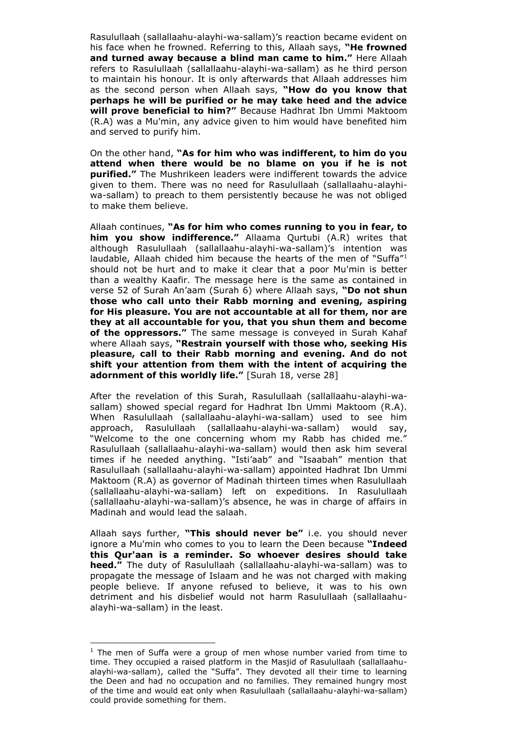Rasulullaah (sallallaahu-alayhi-wa-sallam)'s reaction became evident on his face when he frowned. Referring to this, Allaah says, **"He frowned and turned away because a blind man came to him."** Here Allaah refers to Rasulullaah (sallallaahu-alayhi-wa-sallam) as he third person to maintain his honour. It is only afterwards that Allaah addresses him as the second person when Allaah says, **"How do you know that perhaps he will be purified or he may take heed and the advice will prove beneficial to him?"** Because Hadhrat Ibn Ummi Maktoom (R.A) was a Mu'min, any advice given to him would have benefited him and served to purify him.

On the other hand, **"As for him who was indifferent, to him do you attend when there would be no blame on you if he is not purified."** The Mushrikeen leaders were indifferent towards the advice given to them. There was no need for Rasulullaah (sallallaahu-alayhiwa-sallam) to preach to them persistently because he was not obliged to make them believe.

Allaah continues, **"As for him who comes running to you in fear, to him you show indifference."** Allaama Qurtubi (A.R) writes that although Rasulullaah (sallallaahu-alayhi-wa-sallam)'s intention was laudable, Allaah chided him because the hearts of the men of "Suffa"<sup>1</sup> should not be hurt and to make it clear that a poor Mu'min is better than a wealthy Kaafir. The message here is the same as contained in verse 52 of Surah An'aam (Surah 6) where Allaah says, **"Do not shun those who call unto their Rabb morning and evening, aspiring for His pleasure. You are not accountable at all for them, nor are they at all accountable for you, that you shun them and become of the oppressors."** The same message is conveyed in Surah Kahaf where Allaah says, **"Restrain yourself with those who, seeking His pleasure, call to their Rabb morning and evening. And do not shift your attention from them with the intent of acquiring the adornment of this worldly life."** [Surah 18, verse 28]

After the revelation of this Surah, Rasulullaah (sallallaahu-alayhi-wasallam) showed special regard for Hadhrat Ibn Ummi Maktoom (R.A). When Rasulullaah (sallallaahu-alayhi-wa-sallam) used to see him approach, Rasulullaah (sallallaahu-alayhi-wa-sallam) would say, "Welcome to the one concerning whom my Rabb has chided me." Rasulullaah (sallallaahu-alayhi-wa-sallam) would then ask him several times if he needed anything. "Isti'aab" and "Isaabah" mention that Rasulullaah (sallallaahu-alayhi-wa-sallam) appointed Hadhrat Ibn Ummi Maktoom (R.A) as governor of Madinah thirteen times when Rasulullaah (sallallaahu-alayhi-wa-sallam) left on expeditions. In Rasulullaah (sallallaahu-alayhi-wa-sallam)'s absence, he was in charge of affairs in Madinah and would lead the salaah.

Allaah says further, **"This should never be"** i.e. you should never ignore a Mu'min who comes to you to learn the Deen because **"Indeed this Qur'aan is a reminder. So whoever desires should take heed."** The duty of Rasulullaah (sallallaahu-alayhi-wa-sallam) was to propagate the message of Islaam and he was not charged with making people believe. If anyone refused to believe, it was to his own detriment and his disbelief would not harm Rasulullaah (sallallaahualayhi-wa-sallam) in the least.

-

 $1$  The men of Suffa were a group of men whose number varied from time to time. They occupied a raised platform in the Masjid of Rasulullaah (sallallaahualayhi-wa-sallam), called the "Suffa". They devoted all their time to learning the Deen and had no occupation and no families. They remained hungry most of the time and would eat only when Rasulullaah (sallallaahu-alayhi-wa-sallam) could provide something for them.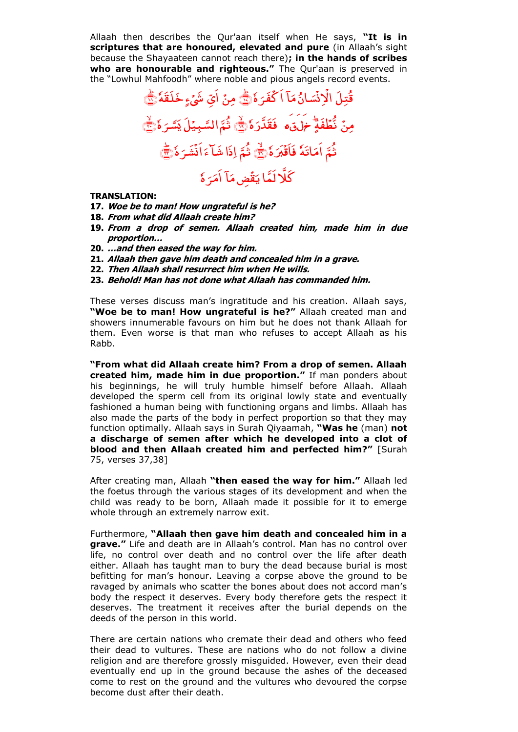Allaah then describes the Qur'aan itself when He says, **"It is in scriptures that are honoured, elevated and pure** (in Allaah's sight because the Shayaateen cannot reach there)**; in the hands of scribes who are honourable and righteous."** The Qur'aan is preserved in the "Lowhul Mahfoodh" where noble and pious angels record events.

قُتِلَ .<br>ب ا ام<br>ا ا<sup>ئ</sup>ي مَ َ ئىپ .<br>• ِ<br>رُ ذ ؙؚ الْانْسَانُ مَآ اَكۡفَهَ هٗ َ َل ف ْ اَكۡفَرَهٗ۞ مِنۡ اَيِّ شَيۡءٍ خَلَقَهٗ۞ مِنۡ نٌّطُفَةٍؕ ْ ر<br>نُّطَفَةٍ ۖ <del>مَ</del>لَقَ \* فَقَدَّرَ هُ فَقَدَّرَهُ ٢ ثَمَّ السَّبِيْلَ يَسَّرَهُ َ ثُمَّ السَّبِيَّلَ يَسَّرَهُ ۖ أَيَّ .<br>ثُمَّ اَمَاتَهٗ اَمَاتَ<mark>هٗ فَاَقُبَرَهٗ</mark> تەر<br>ئىر ؚ فَاَقْبَرَهُ ۞ لَٰهٌ لَـٰهَا لَهَا ءَاَنۡشَرَهٗ َ َشل ۡ َ ا َ اِذَا شَـاَّءَ اُنۡشَـرَةٗ (ﷺ ر<br>ب ا ض م*ک* ْ ä اب<br>ا کَلَّا لَمَّا یَقُضِ مَآ اَمَرَ هٔ َ  $\frac{1}{2}$ َ َم ا

## **TRANSLATION:**

- **17. Woe be to man! How ungrateful is he?**
- **18. From what did Allaah create him?**
- **19. From a drop of semen. Allaah created him, made him in due proportion…**
- **20. …and then eased the way for him.**
- **21. Allaah then gave him death and concealed him in a grave.**
- **22. Then Allaah shall resurrect him when He wills.**
- **23. Behold! Man has not done what Allaah has commanded him.**

These verses discuss man's ingratitude and his creation. Allaah says, **"Woe be to man! How ungrateful is he?"** Allaah created man and showers innumerable favours on him but he does not thank Allaah for them. Even worse is that man who refuses to accept Allaah as his Rabb.

**"From what did Allaah create him? From a drop of semen. Allaah created him, made him in due proportion."** If man ponders about his beginnings, he will truly humble himself before Allaah. Allaah developed the sperm cell from its original lowly state and eventually fashioned a human being with functioning organs and limbs. Allaah has also made the parts of the body in perfect proportion so that they may function optimally. Allaah says in Surah Qiyaamah, **"Was he** (man) **not a discharge of semen after which he developed into a clot of blood and then Allaah created him and perfected him?"** [Surah 75, verses 37,38]

After creating man, Allaah **"then eased the way for him."** Allaah led the foetus through the various stages of its development and when the child was ready to be born, Allaah made it possible for it to emerge whole through an extremely narrow exit.

Furthermore, **"Allaah then gave him death and concealed him in a grave."** Life and death are in Allaah's control. Man has no control over life, no control over death and no control over the life after death either. Allaah has taught man to bury the dead because burial is most befitting for man's honour. Leaving a corpse above the ground to be ravaged by animals who scatter the bones about does not accord man's body the respect it deserves. Every body therefore gets the respect it deserves. The treatment it receives after the burial depends on the deeds of the person in this world.

There are certain nations who cremate their dead and others who feed their dead to vultures. These are nations who do not follow a divine religion and are therefore grossly misguided. However, even their dead eventually end up in the ground because the ashes of the deceased come to rest on the ground and the vultures who devoured the corpse become dust after their death.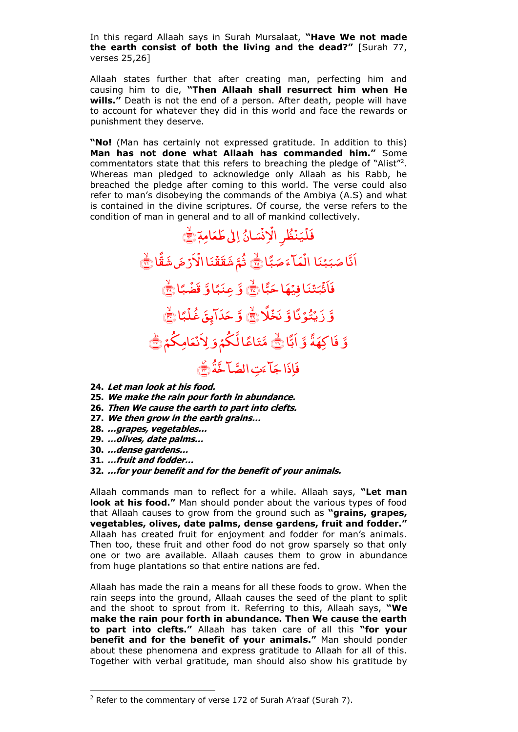In this regard Allaah says in Surah Mursalaat, **"Have We not made the earth consist of both the living and the dead?"** [Surah 77, verses 25,26]

Allaah states further that after creating man, perfecting him and causing him to die, **"Then Allaah shall resurrect him when He wills."** Death is not the end of a person. After death, people will have to account for whatever they did in this world and face the rewards or punishment they deserve.

**"No!** (Man has certainly not expressed gratitude. In addition to this) **Man has not done what Allaah has commanded him."** Some commentators state that this refers to breaching the pledge of "Alist"<sup>2</sup> . Whereas man pledged to acknowledge only Allaah as his Rabb, he breached the pledge after coming to this world. The verse could also refer to man's disobeying the commands of the Ambiya (A.S) and what is contained in the divine scriptures. Of course, the verse refers to the condition of man in general and to all of mankind collectively.

ائ َ ئىپ ۡ :<br>ز ذ ْ <sup>م</sup>ُطرِ الْإ ۡ ن ا<br>ا ی ْ فَلَيَنَظُرِ الْإِنْسَانُ إِلَىٰ طَعَامِمَ ﴾ .<br>بنا ٔ.  $\overline{\mathbf{z}}$ َ اَنَّا صَبَبْنَا الْمَالَ صَبًّا »عٌ<br>ب َ ض َ مَاً ءَ ْ الُمَآءَ صَبَّاۚ لَيْ ثُمَّ شَقَقُنَا الۡاَرۡضَ شَقَّا ؚ<br>ۣ <u>់</u> ااْل َ ن ْ ثَمَّ شَقَقَّنَا الْأَرْضَ شَقَّا <del>﴾</del> ا ًّ ≈<br>پ َ ئَنَا فِيُهَا حَ ٔ. فَاَثْبَتْنَا فِيُهَا حَبَّا لَچَّ وَّ عِنَبًا وَّ عِنَبًا وَّ قَضَّبًا ْ قضُبًا وَّ زَيۡتُوۡنَّا وَّ نَخۡلًا ؚ<br>? نَخۡلَا نَبَّٰٓ ۚ وَّ حَدَآيِقَ غُلۡبًا ْ دَايِقَ غُلً َ حَدَابِقَ غُلْبًا۞ وَّ فَاكِهَةً وَّ اَبًّا اُبًّا ﷺ َ مَّتَاعًا لَّكُمْ وَلِاَنْعَامِكُمْ ْ **ِلاَنْعَامِكُمْ** ﴾ تِ الصَّا خَّةُ َ ] ءَ <u>م</u> فَإِذَا جَآءَتِ الصَّآخَّةَ رَضَيَ

**24. Let man look at his food.**

**25. We make the rain pour forth in abundance.**

- **26. Then We cause the earth to part into clefts.**
- **27. We then grow in the earth grains…**
- **28. …grapes, vegetables…**
- **29. …olives, date palms…**
- **30. …dense gardens…**

-

**31. …fruit and fodder…**

**32. …for your benefit and for the benefit of your animals.**

Allaah commands man to reflect for a while. Allaah says, **"Let man look at his food."** Man should ponder about the various types of food that Allaah causes to grow from the ground such as **"grains, grapes, vegetables, olives, date palms, dense gardens, fruit and fodder."**  Allaah has created fruit for enjoyment and fodder for man's animals. Then too, these fruit and other food do not grow sparsely so that only one or two are available. Allaah causes them to grow in abundance from huge plantations so that entire nations are fed.

Allaah has made the rain a means for all these foods to grow. When the rain seeps into the ground, Allaah causes the seed of the plant to split and the shoot to sprout from it. Referring to this, Allaah says, **"We make the rain pour forth in abundance. Then We cause the earth to part into clefts."** Allaah has taken care of all this **"for your benefit and for the benefit of your animals."** Man should ponder about these phenomena and express gratitude to Allaah for all of this. Together with verbal gratitude, man should also show his gratitude by

 $2$  Refer to the commentary of verse 172 of Surah A'raaf (Surah 7).